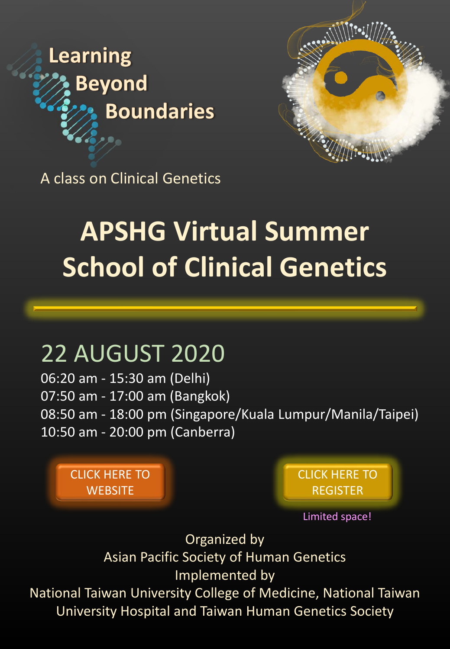



A class on Clinical Genetics

# **APSHG Virtual Summer School of Clinical Genetics**

# 22 AUGUST 2020

06:20 am - 15:30 am (Delhi) 07:50 am - 17:00 am (Bangkok) 08:50 am - 18:00 pm (Singapore/Kuala Lumpur/Manila/Taipei) 10:50 am - 20:00 pm (Canberra)

[CLICK HERE TO](http://www.thgs.org.tw/2020SSCG/index.asp)  **WEBSITE** 

[CLICK HERE TO](https://docs.google.com/forms/d/e/1FAIpQLScMmPxKF_hIsKmdi4lIJhL_X82XIeN_ladD9I2DOg9F5LSsSQ/viewform)  REGISTER

Limited space!

Organized by Asian Pacific Society of Human Genetics Implemented by

National Taiwan University College of Medicine, National Taiwan University Hospital and Taiwan Human Genetics Society